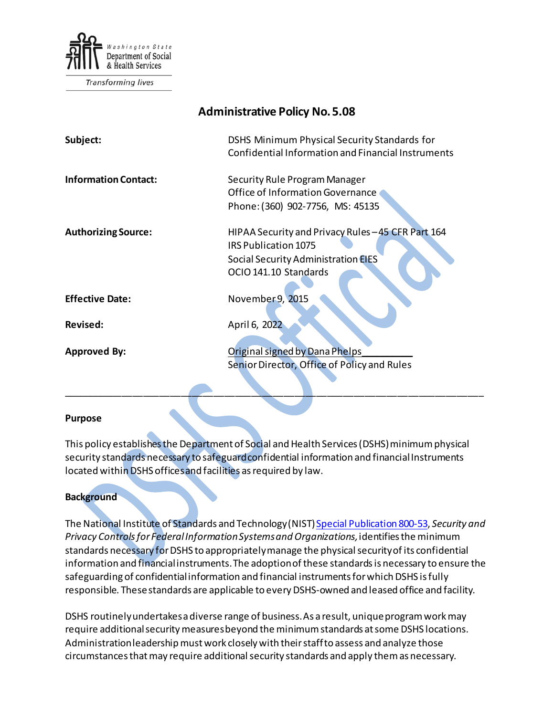

Transforming lives

| <b>Administrative Policy No. 5.08</b> |                                                                                                                                                   |
|---------------------------------------|---------------------------------------------------------------------------------------------------------------------------------------------------|
| Subject:                              | DSHS Minimum Physical Security Standards for<br>Confidential Information and Financial Instruments                                                |
| <b>Information Contact:</b>           | Security Rule Program Manager<br>Office of Information Governance<br>Phone: (360) 902-7756, MS: 45135                                             |
| <b>Authorizing Source:</b>            | HIPAA Security and Privacy Rules - 45 CFR Part 164<br>IRS Publication 1075<br>Social Security Administration <b>EIES</b><br>OCIO 141.10 Standards |
| <b>Effective Date:</b>                | November 9, 2015                                                                                                                                  |
| <b>Revised:</b>                       | April 6, 2022                                                                                                                                     |
| <b>Approved By:</b>                   | Original signed by Dana Phelps<br>Senior Director, Office of Policy and Rules                                                                     |

#### **Purpose**

This policy establishes the Department of Social and Health Services (DSHS) minimum physical security standards necessary to safeguard confidential information and financial Instruments located within DSHS offices and facilities as required by law.

### **Background**

The National Institute of Standards and Technology (NIST[\) Special Publication 800-53,](http://nvlpubs.nist.gov/nistpubs/SpecialPublications/NIST.SP.800-53r4.pdf) *Security and Privacy Controls for Federal Information Systems and Organizations,*identifies the minimum standards necessary for DSHS to appropriately manage the physical security of its confidential information and financial instruments. The adoption of these standards is necessary to ensure the safeguarding of confidential information and financial instruments for which DSHS is fully responsible. These standards are applicable to every DSHS-owned and leased office and facility.

DSHS routinely undertakes a diverse range of business. As a result, unique program work may require additional security measures beyond the minimum standards at some DSHS locations. Administration leadership must work closely with their staff to assess and analyze those circumstances that may require additional security standards and apply them as necessary.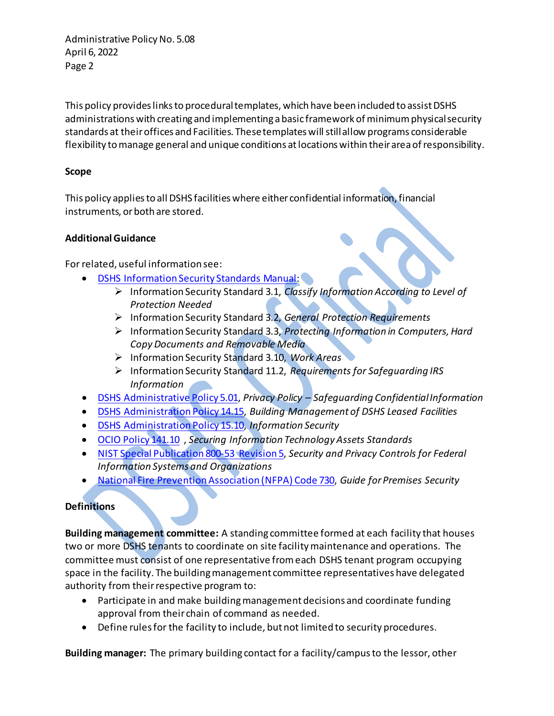This policy provides links to procedural templates, which have been included to assist DSHS administrations with creating and implementing a basic framework of minimum physical security standards at their offices and Facilities. These templates will still allow programs considerable flexibility to manage general and unique conditions at locations within their area of responsibility.

## **Scope**

This policy applies to all DSHS facilities where either confidential information, financial instruments, or both are stored.

## **Additional Guidance**

For related, useful information see:

- [DSHS Information Security Standards Manual:](http://ishare.dshs.wa.lcl/Security/Manual/DSHS_IT_Sec_Pol.pdf)
	- Information Security Standard 3.1, *Classify Information According to Level of Protection Needed*
	- Information Security Standard 3.2, *General Protection Requirements*
	- Information Security Standard 3.3, *Protecting Information in Computers, Hard Copy Documents and Removable Media*
	- Information Security Standard 3.10, *Work Areas*
	- Information Security Standard 11.2, *Requirements for Safeguarding IRS Information*
- [DSHS Administrative Policy](http://one.dshs.wa.lcl/Policies/Administrative/DSHS-AP-05-01.pdf) 5.01, *Privacy Policy – Safeguarding Confidential Information*
- [DSHS Administration Policy 14.15,](http://one.dshs.wa.lcl/Policies/Administrative/DSHS-AP-14-15.pdf) *Building Management of DSHS Leased Facilities*
- [DSHS Administration Policy 15.10,](http://one.dshs.wa.lcl/Policies/Administrative/DSHS-AP-15-10.pdf) *Information Security*
- [OCIO Policy 141.10](https://ocio.wa.gov/policies/141-securing-information-technology-assets/14110-securing-information-technology-assets) , *Securing Information Technology Assets Standards*
- [NIST Special Publication 800-53 Revision 5,](https://csrc.nist.gov/publications/detail/sp/800-53/rev-5/final) *Security and Privacy Controls for Federal Information Systems and Organizations*
- [National Fire Prevention Association \(NFPA\) Code 730,](http://www.nfpa.org/codes-and-standards/document-information-pages?mode=code&code=730) *Guide for Premises Security*

## **Definitions**

**Building management committee:** A standing committee formed at each facility that houses two or more DSHS tenants to coordinate on site facility maintenance and operations. The committee must consist of one representative from each DSHS tenant program occupying space in the facility. The building management committee representatives have delegated authority from their respective program to:

- Participate in and make building management decisions and coordinate funding approval from their chain of command as needed.
- Define rules for the facility to include, but not limited to security procedures.

**Building manager:** The primary building contact for a facility/campus to the lessor, other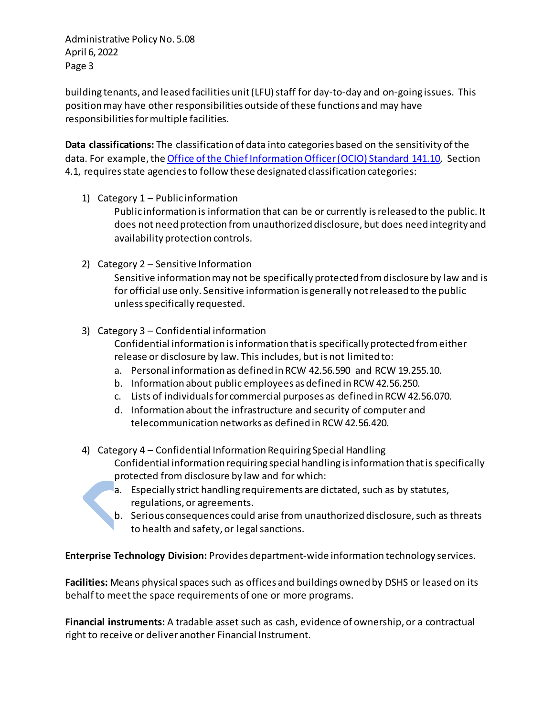building tenants, and leased facilities unit (LFU) staff for day-to-day and on-going issues. This position may have other responsibilities outside of these functions and may have responsibilities for multiple facilities.

**Data classifications:** The classification of data into categories based on the sensitivity of the data. For example, th[e Office of the Chief Information Officer \(OCIO\) Standard 141.10,](https://ocio.wa.gov/sites/default/files/public/policies/141.10_SecuringITAssets_201711_Approved.pdf?yktmlh) Section 4.1, requires state agencies to follow these designated classification categories:

1) Category 1 – Public information

Public information is information that can be or currently is released to the public. It does not need protection from unauthorized disclosure, but does need integrity and availability protection controls.

- 2) Category 2 Sensitive Information Sensitive information may not be specifically protected from disclosure by law and is for official use only. Sensitive information is generally not released to the public unless specifically requested.
- 3) Category 3 Confidential information Confidential information is information that is specifically protected from either release or disclosure by law. This includes, but is not limited to:
	- a. Personal information as defined in RCW 42.56.590 and RCW 19.255.10.
	- b. Information about public employees as defined in RCW 42.56.250.
	- c. Lists of individuals for commercial purposes as defined in RCW 42.56.070.
	- d. Information about the infrastructure and security of computer and telecommunication networks as defined in RCW 42.56.420.
- 4) Category 4 Confidential Information Requiring Special Handling Confidential information requiring special handling is information that is specifically protected from disclosure by law and for which:
	- a. Especially strict handling requirements are dictated, such as by statutes, regulations, or agreements.
	- b. Serious consequences could arise from unauthorized disclosure, such as threats to health and safety, or legal sanctions.

**Enterprise Technology Division:** Provides department-wide information technology services.

**Facilities:** Means physical spaces such as offices and buildings owned by DSHS or leased on its behalf to meet the space requirements of one or more programs.

**Financial instruments:** A tradable asset such as cash, evidence of ownership, or a contractual right to receive or deliver another Financial Instrument.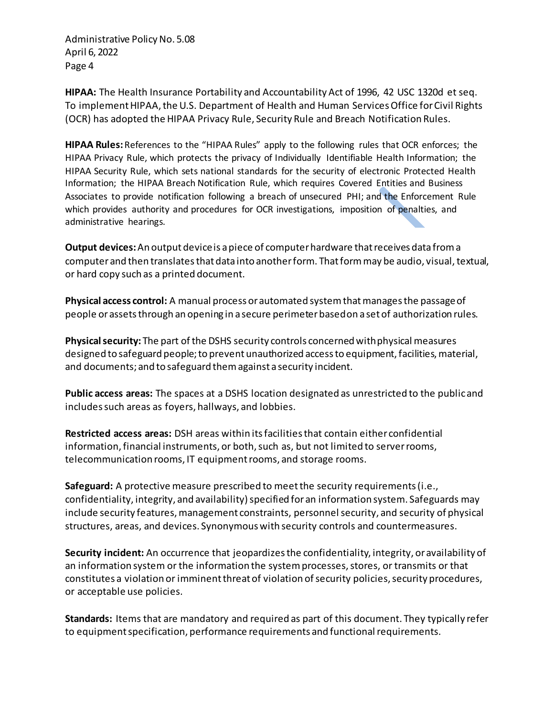**HIPAA:** The Health Insurance Portability and Accountability Act of 1996, 42 USC 1320d et seq. To implement HIPAA, the U.S. Department of Health and Human Services Office for Civil Rights (OCR) has adopted the HIPAA Privacy Rule, Security Rule and Breach Notification Rules.

**HIPAA Rules:**References to the "HIPAA Rules" apply to the following rules that OCR enforces; the HIPAA Privacy Rule, which protects the privacy of Individually Identifiable Health Information; the HIPAA Security Rule, which sets national standards for the security of electronic Protected Health Information; the HIPAA Breach Notification Rule, which requires Covered Entities and Business Associates to provide notification following a breach of unsecured PHI; and the Enforcement Rule which provides authority and procedures for OCR investigations, imposition of penalties, and administrative hearings.

**Output devices:**An output device is a piece of computer hardware that receives data from a computer and then translates that data into another form. That form may be audio, visual, textual, or hard copy such as a printed document.

**Physical access control:** A manual process or automated system that manages the passage of people or assets through an opening in a secure perimeterbased on a set of authorization rules.

**Physical security:** The part of the DSHS security controls concerned with physical measures designed to safeguard people; to prevent unauthorized access to equipment, facilities, material, and documents; and to safeguard them against a security incident.

**Public access areas:** The spaces at a DSHS location designated as unrestricted to the public and includes such areas as foyers, hallways, and lobbies.

**Restricted access areas:** DSH areas within its facilities that contain either confidential information, financial instruments, or both, such as, but not limited to server rooms, telecommunication rooms, IT equipment rooms, and storage rooms.

**Safeguard:** A protective measure prescribed to meet the security requirements (i.e., confidentiality, integrity, and availability) specified for an information system. Safeguards may include security features, management constraints, personnel security, and security of physical structures, areas, and devices. Synonymous with security controls and countermeasures.

**Security incident:** An occurrence that jeopardizesthe confidentiality, integrity, or availability of an information system or the information the system processes, stores, or transmits or that constitutes a violation or imminent threat of violation of security policies, security procedures, or acceptable use policies.

**Standards:** Items that are mandatory and required as part of this document. They typically refer to equipment specification, performance requirements and functional requirements.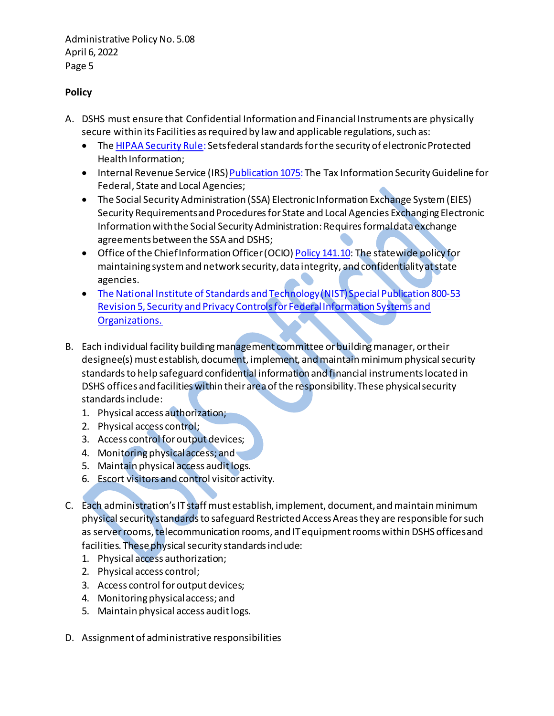# **Policy**

- A. DSHS must ensure that Confidential Information and Financial Instruments are physically secure within its Facilities as required by law and applicable regulations, such as:
	- The [HIPAA Security Rule](http://www.hhs.gov/ocr/privacy/hipaa/administrative/securityrule/): Sets federal standards for the security of electronic Protected Health Information;
	- Internal Revenue Service (IRS[\) Publication 1075:](https://www.google.com/url?sa=t&rct=j&q=&esrc=s&source=web&cd=1&cad=rja&uact=8&ved=0CB4QFjAA&url=http%3A%2F%2Fwww.irs.gov%2Fpub%2Firs-pdf%2Fp1075.pdf&ei=3xeKVKz4MYfWoATk14L4BA&usg=AFQjCNFc-V6eTb0qn7TRMx5B1prdXr3Zbw&bvm=bv.81456516,d.cGU) The Tax Information Security Guideline for Federal, State and Local Agencies;
	- The Social Security Administration (SSA) Electronic Information Exchange System (EIES) Security Requirements and Procedures for State and Local Agencies Exchanging Electronic Information with the Social Security Administration: Requires formal data exchange agreements between the SSA and DSHS;
	- Office of the Chief Information Officer (OCIO) Policy [141.10:](https://www.google.com/url?sa=t&rct=j&q=&esrc=s&source=web&cd=1&cad=rja&uact=8&sqi=2&ved=0CB4QFjAA&url=https%3A%2F%2Focio.wa.gov%2Fpolicies%2F141-securing-information-technology-assets%2F14110-securing-information-technology-assets&ei=-BeKVPHfGY7ioASMnoKICA&usg=AFQjCNHjO3Auyy8ua9Us5hp0ov9dyWWAdA&bvm=bv.81456516,d.cGU) The statewide policy for maintaining system and network security, data integrity, and confidentiality at state agencies.
	- [The National Institute of Standards and Technology \(NIST\) Special Publication 800-53](https://csrc.nist.gov/publications/detail/sp/800-53/rev-5/final) Revision 5, [Security and Privacy Controls for Federal Information Systems and](https://csrc.nist.gov/publications/detail/sp/800-53/rev-5/final)  [Organizations.](https://csrc.nist.gov/publications/detail/sp/800-53/rev-5/final)
- B. Each individual facility building management committee or building manager, or their designee(s) must establish, document, implement, and maintain minimum physical security standards to help safeguard confidential information and financial instruments located in DSHS offices and facilities within their area of the responsibility. These physical security standards include:
	- 1. Physical access authorization;
	- 2. Physical access control;
	- 3. Access control for output devices;
	- 4. Monitoring physical access; and
	- 5. Maintain physical access audit logs.
	- 6. Escort visitors and control visitor activity.
- C. Each administration'sIT staff must establish, implement, document,and maintain minimum physical security standards to safeguard Restricted Access Areas they are responsible for such as server rooms, telecommunication rooms, and IT equipment rooms within DSHS offices and facilities. These physical security standards include:
	- 1. Physical access authorization;
	- 2. Physical access control;
	- 3. Access control for output devices;
	- 4. Monitoring physical access; and
	- 5. Maintain physical access audit logs.
- D. Assignment of administrative responsibilities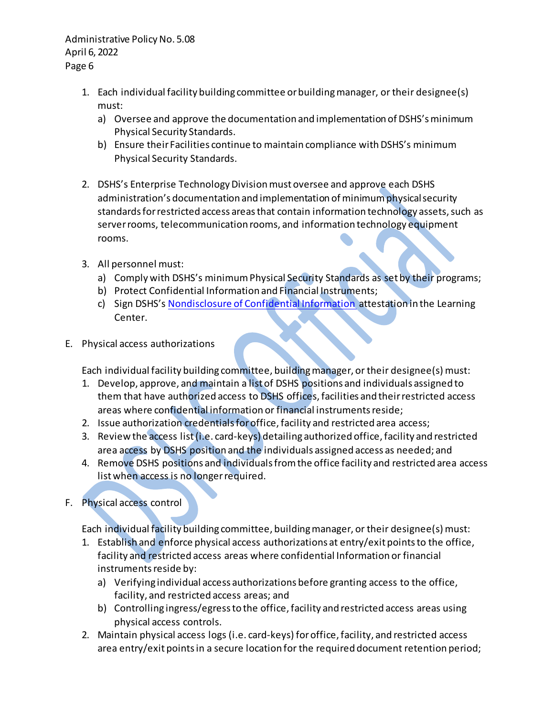- 1. Each individual facility building committee or building manager, or their designee(s) must:
	- a) Oversee and approve the documentation and implementation of DSHS's minimum Physical Security Standards.
	- b) Ensure their Facilities continue to maintain compliance with DSHS's minimum Physical Security Standards.
- 2. DSHS's Enterprise Technology Division must oversee and approve each DSHS administration's documentation and implementation of minimum physical security standards for restricted access areas that contain information technology assets, such as server rooms, telecommunication rooms, and information technology equipment rooms.
- 3. All personnel must:
	- a) Comply with DSHS's minimum Physical Security Standards as set by their programs;
	- b) Protect Confidential Information and Financial Instruments;
	- c) Sign DSHS'[s Nondisclosure of Confidential Information](http://forms.dshs.wa.lcl/formDetails.aspx?ID=171) attestation in the Learning Center.
- E. Physical access authorizations

Each individual facility building committee, building manager, or their designee(s) must:

- 1. Develop, approve, and maintain a list of DSHS positions and individuals assigned to them that have authorized access to DSHS offices, facilities and their restricted access areas where confidential information or financial instruments reside;
- 2. Issue authorization credentials for office, facility and restricted area access;
- 3. Review the access list (i.e. card-keys) detailing authorized office, facility and restricted area access by DSHS position and the individuals assigned access as needed; and
- 4. Remove DSHS positions and individuals from the office facility and restricted area access list when access is no longer required.
- F. Physical access control

Each individual facility building committee, building manager, or their designee(s) must:

- 1. Establish and enforce physical access authorizations at entry/exit points to the office, facility and restricted access areas where confidential Information or financial instruments reside by:
	- a) Verifying individual access authorizations before granting access to the office, facility, and restricted access areas; and
	- b) Controlling ingress/egress to the office, facility and restricted access areas using physical access controls.
- 2. Maintain physical access logs (i.e. card-keys) for office, facility, and restricted access area entry/exit pointsin a secure location for the required document retention period;